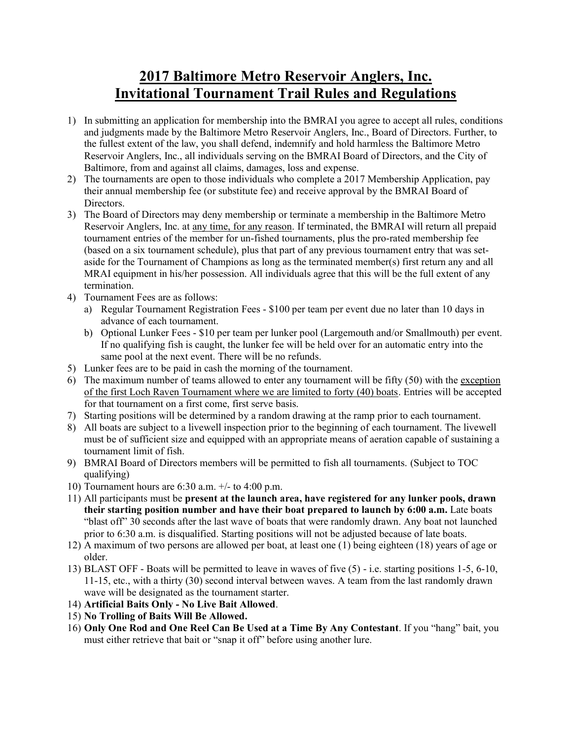## **2017 Baltimore Metro Reservoir Anglers, Inc. Invitational Tournament Trail Rules and Regulations**

- 1) In submitting an application for membership into the BMRAI you agree to accept all rules, conditions and judgments made by the Baltimore Metro Reservoir Anglers, Inc., Board of Directors. Further, to the fullest extent of the law, you shall defend, indemnify and hold harmless the Baltimore Metro Reservoir Anglers, Inc., all individuals serving on the BMRAI Board of Directors, and the City of Baltimore, from and against all claims, damages, loss and expense.
- 2) The tournaments are open to those individuals who complete a 2017 Membership Application, pay their annual membership fee (or substitute fee) and receive approval by the BMRAI Board of Directors.
- 3) The Board of Directors may deny membership or terminate a membership in the Baltimore Metro Reservoir Anglers, Inc. at any time, for any reason. If terminated, the BMRAI will return all prepaid tournament entries of the member for un-fished tournaments, plus the pro-rated membership fee (based on a six tournament schedule), plus that part of any previous tournament entry that was setaside for the Tournament of Champions as long as the terminated member(s) first return any and all MRAI equipment in his/her possession. All individuals agree that this will be the full extent of any termination.
- 4) Tournament Fees are as follows:
	- a) Regular Tournament Registration Fees \$100 per team per event due no later than 10 days in advance of each tournament.
	- b) Optional Lunker Fees \$10 per team per lunker pool (Largemouth and/or Smallmouth) per event. If no qualifying fish is caught, the lunker fee will be held over for an automatic entry into the same pool at the next event. There will be no refunds.
- 5) Lunker fees are to be paid in cash the morning of the tournament.
- 6) The maximum number of teams allowed to enter any tournament will be fifty  $(50)$  with the exception of the first Loch Raven Tournament where we are limited to forty (40) boats. Entries will be accepted for that tournament on a first come, first serve basis.
- 7) Starting positions will be determined by a random drawing at the ramp prior to each tournament.
- 8) All boats are subject to a livewell inspection prior to the beginning of each tournament. The livewell must be of sufficient size and equipped with an appropriate means of aeration capable of sustaining a tournament limit of fish.
- 9) BMRAI Board of Directors members will be permitted to fish all tournaments. (Subject to TOC qualifying)
- 10) Tournament hours are 6:30 a.m. +/- to 4:00 p.m.
- 11) All participants must be **present at the launch area, have registered for any lunker pools, drawn their starting position number and have their boat prepared to launch by 6:00 a.m.** Late boats "blast off" 30 seconds after the last wave of boats that were randomly drawn. Any boat not launched prior to 6:30 a.m. is disqualified. Starting positions will not be adjusted because of late boats.
- 12) A maximum of two persons are allowed per boat, at least one (1) being eighteen (18) years of age or older.
- 13) BLAST OFF Boats will be permitted to leave in waves of five (5) i.e. starting positions 1-5, 6-10, 11-15, etc., with a thirty (30) second interval between waves. A team from the last randomly drawn wave will be designated as the tournament starter.
- 14) **Artificial Baits Only - No Live Bait Allowed**.
- 15) **No Trolling of Baits Will Be Allowed.**
- 16) **Only One Rod and One Reel Can Be Used at a Time By Any Contestant**. If you "hang" bait, you must either retrieve that bait or "snap it off" before using another lure.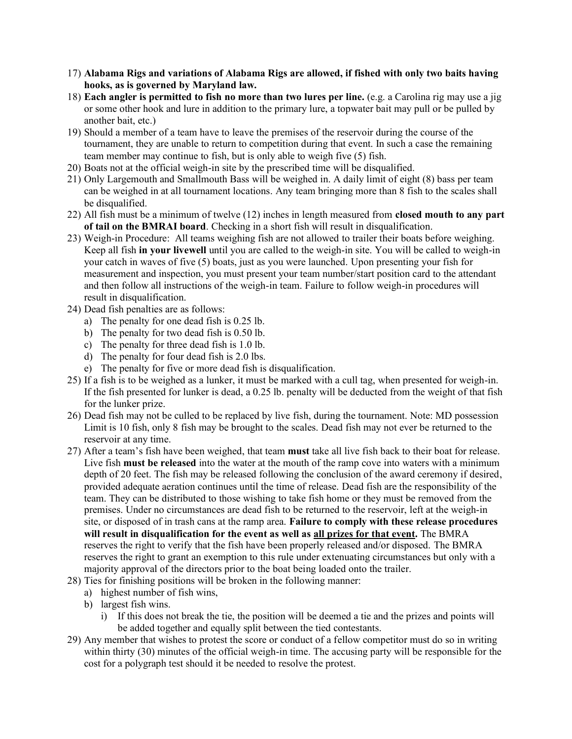- 17) **Alabama Rigs and variations of Alabama Rigs are allowed, if fished with only two baits having hooks, as is governed by Maryland law.**
- 18) **Each angler is permitted to fish no more than two lures per line.** (e.g. a Carolina rig may use a jig or some other hook and lure in addition to the primary lure, a topwater bait may pull or be pulled by another bait, etc.)
- 19) Should a member of a team have to leave the premises of the reservoir during the course of the tournament, they are unable to return to competition during that event. In such a case the remaining team member may continue to fish, but is only able to weigh five (5) fish.
- 20) Boats not at the official weigh-in site by the prescribed time will be disqualified.
- 21) Only Largemouth and Smallmouth Bass will be weighed in. A daily limit of eight (8) bass per team can be weighed in at all tournament locations. Any team bringing more than 8 fish to the scales shall be disqualified.
- 22) All fish must be a minimum of twelve (12) inches in length measured from **closed mouth to any part of tail on the BMRAI board**. Checking in a short fish will result in disqualification.
- 23) Weigh-in Procedure: All teams weighing fish are not allowed to trailer their boats before weighing. Keep all fish **in your livewell** until you are called to the weigh-in site. You will be called to weigh-in your catch in waves of five (5) boats, just as you were launched. Upon presenting your fish for measurement and inspection, you must present your team number/start position card to the attendant and then follow all instructions of the weigh-in team. Failure to follow weigh-in procedures will result in disqualification.
- 24) Dead fish penalties are as follows:
	- a) The penalty for one dead fish is 0.25 lb.
	- b) The penalty for two dead fish is 0.50 lb.
	- c) The penalty for three dead fish is 1.0 lb.
	- d) The penalty for four dead fish is 2.0 lbs.
	- e) The penalty for five or more dead fish is disqualification.
- 25) If a fish is to be weighed as a lunker, it must be marked with a cull tag, when presented for weigh-in. If the fish presented for lunker is dead, a 0.25 lb. penalty will be deducted from the weight of that fish for the lunker prize.
- 26) Dead fish may not be culled to be replaced by live fish, during the tournament. Note: MD possession Limit is 10 fish, only 8 fish may be brought to the scales. Dead fish may not ever be returned to the reservoir at any time.
- 27) After a team's fish have been weighed, that team **must** take all live fish back to their boat for release. Live fish **must be released** into the water at the mouth of the ramp cove into waters with a minimum depth of 20 feet. The fish may be released following the conclusion of the award ceremony if desired, provided adequate aeration continues until the time of release. Dead fish are the responsibility of the team. They can be distributed to those wishing to take fish home or they must be removed from the premises. Under no circumstances are dead fish to be returned to the reservoir, left at the weigh-in site, or disposed of in trash cans at the ramp area. **Failure to comply with these release procedures will result in disqualification for the event as well as all prizes for that event.** The BMRA reserves the right to verify that the fish have been properly released and/or disposed. The BMRA reserves the right to grant an exemption to this rule under extenuating circumstances but only with a majority approval of the directors prior to the boat being loaded onto the trailer.
- 28) Ties for finishing positions will be broken in the following manner:
	- a) highest number of fish wins,
	- b) largest fish wins.
		- i) If this does not break the tie, the position will be deemed a tie and the prizes and points will be added together and equally split between the tied contestants.
- 29) Any member that wishes to protest the score or conduct of a fellow competitor must do so in writing within thirty (30) minutes of the official weigh-in time. The accusing party will be responsible for the cost for a polygraph test should it be needed to resolve the protest.